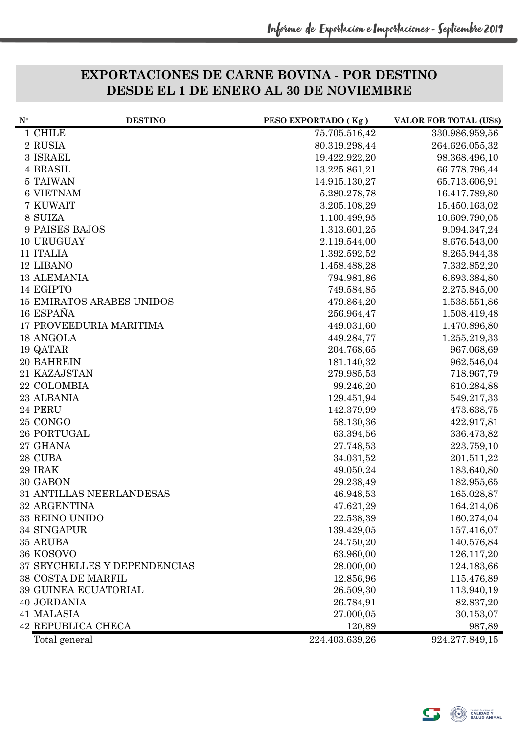## **EXPORTACIONES DE CARNE BOVINA - POR DESTINO DESDE EL 1 DE ENERO AL 30 DE NOVIEMBRE**

| $N^{\circ}$ | <b>DESTINO</b>                   | PESO EXPORTADO (Kg) | <b>VALOR FOB TOTAL (US\$)</b> |
|-------------|----------------------------------|---------------------|-------------------------------|
|             | 1 CHILE                          | 75.705.516,42       | 330.986.959,56                |
|             | 2 RUSIA                          | 80.319.298,44       | 264.626.055,32                |
|             | 3 ISRAEL                         | 19.422.922,20       | 98.368.496,10                 |
|             | 4 BRASIL                         | 13.225.861,21       | 66.778.796,44                 |
|             | 5 TAIWAN                         | 14.915.130,27       | 65.713.606,91                 |
|             | <b>6 VIETNAM</b>                 | 5.280.278,78        | 16.417.789,80                 |
|             | 7 KUWAIT                         | 3.205.108,29        | 15.450.163,02                 |
|             | 8 SUIZA                          | 1.100.499,95        | 10.609.790,05                 |
|             | 9 PAISES BAJOS                   | 1.313.601,25        | 9.094.347,24                  |
|             | 10 URUGUAY                       | 2.119.544,00        | 8.676.543,00                  |
|             | 11 ITALIA                        | 1.392.592,52        | 8.265.944,38                  |
|             | 12 LIBANO                        | 1.458.488,28        | 7.332.852,20                  |
|             | <b>13 ALEMANIA</b>               | 794.981,86          | 6.693.384,80                  |
|             | 14 EGIPTO                        | 749.584,85          | 2.275.845,00                  |
|             | <b>15 EMIRATOS ARABES UNIDOS</b> | 479.864,20          | 1.538.551,86                  |
|             | 16 ESPAÑA                        | 256.964,47          | 1.508.419,48                  |
|             | <b>17 PROVEEDURIA MARITIMA</b>   | 449.031,60          | 1.470.896,80                  |
|             | 18 ANGOLA                        | 449.284,77          | 1.255.219,33                  |
|             | 19 QATAR                         | 204.768,65          | 967.068,69                    |
|             | 20 BAHREIN                       | 181.140,32          | 962.546,04                    |
|             | 21 KAZAJSTAN                     | 279.985,53          | 718.967,79                    |
|             | 22 COLOMBIA                      | 99.246,20           | 610.284,88                    |
|             | 23 ALBANIA                       | 129.451,94          | 549.217,33                    |
|             | 24 PERU                          | 142.379,99          | 473.638,75                    |
|             | 25 CONGO                         | 58.130,36           | 422.917,81                    |
|             | 26 PORTUGAL                      | 63.394,56           | 336.473,82                    |
|             | 27 GHANA                         | 27.748,53           | 223.759,10                    |
|             | 28 CUBA                          | 34.031,52           | 201.511,22                    |
|             | 29 IRAK                          | 49.050,24           | 183.640,80                    |
|             | 30 GABON                         | 29.238,49           | 182.955,65                    |
|             | 31 ANTILLAS NEERLANDESAS         | 46.948,53           | 165.028,87                    |
|             | 32 ARGENTINA                     | 47.621,29           | 164.214,06                    |
|             | 33 REINO UNIDO                   | 22.538,39           | 160.274,04                    |
|             | 34 SINGAPUR                      | 139.429,05          | 157.416,07                    |
|             | 35 ARUBA                         | 24.750,20           | 140.576,84                    |
|             | 36 KOSOVO                        | 63.960,00           | 126.117,20                    |
|             | 37 SEYCHELLES Y DEPENDENCIAS     | 28.000,00           | 124.183,66                    |
|             | <b>38 COSTA DE MARFIL</b>        | 12.856,96           | 115.476,89                    |
|             | 39 GUINEA ECUATORIAL             | 26.509,30           | 113.940,19                    |
|             | <b>40 JORDANIA</b>               | 26.784,91           | 82.837,20                     |
|             | 41 MALASIA                       | 27.000,05           | 30.153,07                     |
|             | <b>42 REPUBLICA CHECA</b>        | 120,89              | 987,89                        |
|             | Total general                    | 224.403.639,26      | 924.277.849,15                |